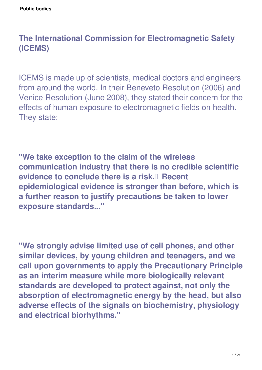#### **The International Commission for Electromagnetic Safety (ICEMS)**

ICEMS is made up of scientists, medical doctors and engineers from around the world. In their Beneveto Resolution (2006) and Venice Resolution (June 2008), they stated their concern for the effects of human exposure to electromagnetic fields on health. They state:

**"We take exception to the claim of the wireless communication industry that there is no credible scientific evidence to conclude there is a risk. Recent epidemiological evidence is stronger than before, which is a further reason to justify precautions be taken to lower exposure standards..."** 

**"We strongly advise limited use of cell phones, and other similar devices, by young children and teenagers, and we call upon governments to apply the Precautionary Principle as an interim measure while more biologically relevant standards are developed to protect against, not only the absorption of electromagnetic energy by the head, but also adverse effects of the signals on biochemistry, physiology and electrical biorhythms."**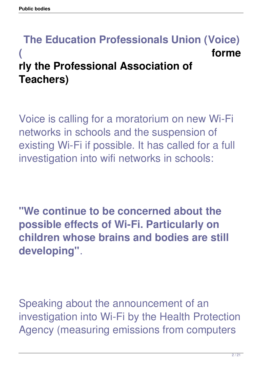#### **The Education Professionals Union (Voice) ( forme rly the Professional Association of Teachers)**

Voice is calling for a moratorium on new Wi-Fi networks in schools and the suspension of existing Wi-Fi if possible. It has called for a full investigation into wifi networks in schools:

**"We continue to be concerned about the possible effects of Wi-Fi. Particularly on children whose brains and bodies are still developing"**.

Speaking about the announcement of an investigation into Wi-Fi by the Health Protection Agency (measuring emissions from computers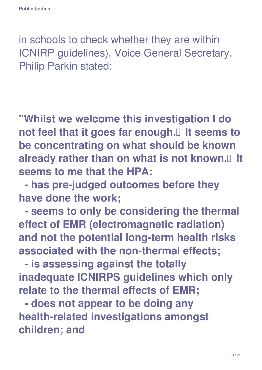in schools to check whether they are within ICNIRP guidelines), Voice General Secretary, Philip Parkin stated:

**"Whilst we welcome this investigation I do not feel that it goes far enough. It seems to be concentrating on what should be known** already rather than on what is not known.<sup>[]</sup> It **seems to me that the HPA:** 

 **- has pre-judged outcomes before they have done the work;**

 **- seems to only be considering the thermal effect of EMR (electromagnetic radiation) and not the potential long-term health risks associated with the non-thermal effects;**

 **- is assessing against the totally inadequate ICNIRPS guidelines which only relate to the thermal effects of EMR;**

 **- does not appear to be doing any health-related investigations amongst children; and**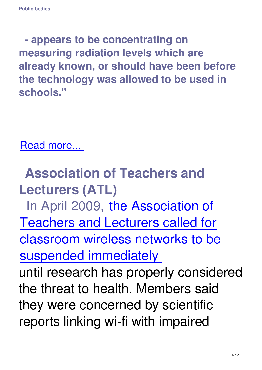**- appears to be concentrating on measuring radiation levels which are already known, or should have been before the technology was allowed to be used in schools."** 

Read more...

 **[Associatio](http://www.dailymail.co.uk/news/article-1039235/Suspend-wi-fi-schools-says-union-chief-following-reports-causes-ill-health.html)n of Teachers and Lecturers (ATL)** In April 2009, the Association of Teachers and [Lecturers called for](http://www.dailymail.co.uk/news/article-1168547/Wi-fi-networks-removed-schoo%20ls-stop-children-getting-cancer-teachers-insist.html) [classroom wireless networks to be](http://www.dailymail.co.uk/news/article-1168547/Wi-fi-networks-removed-schoo%20ls-stop-children-getting-cancer-teachers-insist.html) [suspended immediately](http://www.dailymail.co.uk/news/article-1168547/Wi-fi-networks-removed-schoo%20ls-stop-children-getting-cancer-teachers-insist.html)  [until research has proper](http://www.dailymail.co.uk/news/article-1168547/Wi-fi-networks-removed-schoo%20ls-stop-children-getting-cancer-teachers-insist.html)ly considered the threat to health. Members said they were concerned by scientific reports linking wi-fi with impaired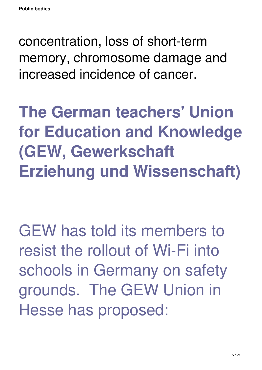concentration, loss of short-term memory, chromosome damage and increased incidence of cancer.

**The German teachers' Union for Education and Knowledge (GEW, Gewerkschaft Erziehung und Wissenschaft)**

GEW has told its members to resist the rollout of Wi-Fi into schools in Germany on safety grounds. The GEW Union in Hesse has proposed: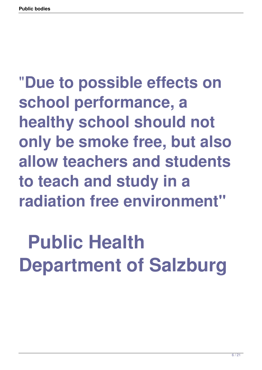#### "**Due to possible effects on school performance, a healthy school should not only be smoke free, but also allow teachers and students to teach and study in a radiation free environment"**

#### **Public Health Department of Salzburg**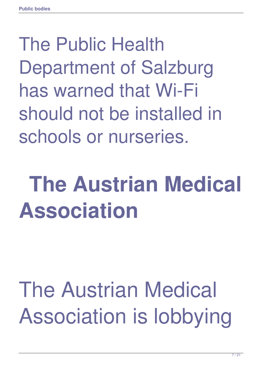#### The Public Health Department of Salzburg has warned that Wi-Fi should not be installed in schools or nurseries.

#### **The Austrian Medical Association**

#### The Austrian Medical Association is lobbying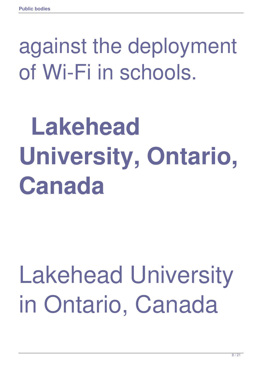#### against the deployment of Wi-Fi in schools.

### **Lakehead University, Ontario, Canada**

#### Lakehead University in Ontario, Canada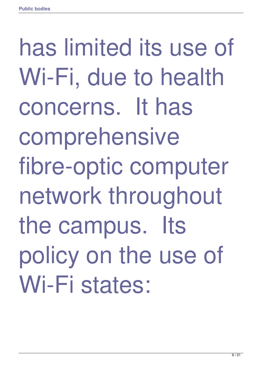has limited its use of Wi-Fi, due to health concerns. It has comprehensive fibre-optic computer network throughout the campus. Its policy on the use of Wi-Fi states: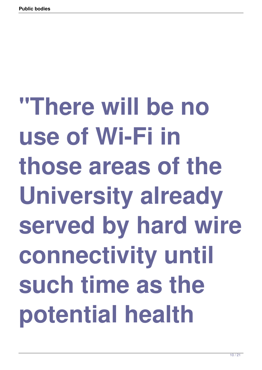**"There will be no use of Wi-Fi in those areas of the University already served by hard wire connectivity until such time as the potential health**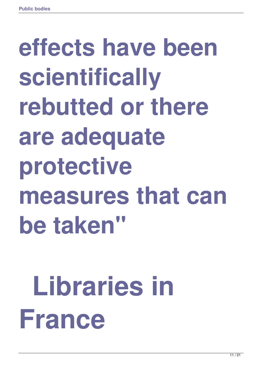### **effects have been scientifically rebutted or there are adequate protective measures that can be taken"**

### **Libraries in France**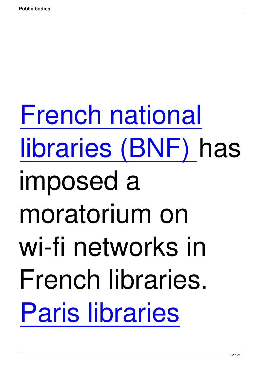French national [libraries \(BNF\) h](http://www.next-up.org/pdf/FranceNationalLibraryGivesUpWiFi07042008.pdf)as [imposed a](http://www.next-up.org/pdf/FranceNationalLibraryGivesUpWiFi07042008.pdf) moratorium on wi-fi networks in French libraries. [Paris libraries](http://www.next-up.org/pdf/France2WiFiInPublicLibrariesInParisMoratorium30112007.pdf)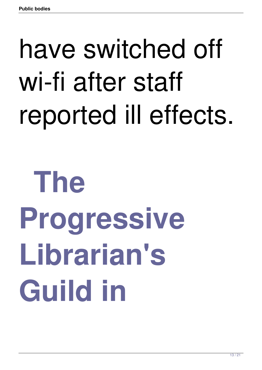### have switched off wi-fi after staff reported ill effects.

## **The Progressive Librarian's Guild in**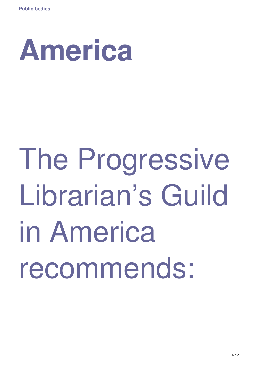### **America**

## The Progressive Librarian's Guild in America recommends: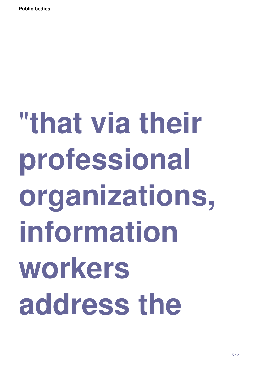# "**that via their professional organizations, information workers address the**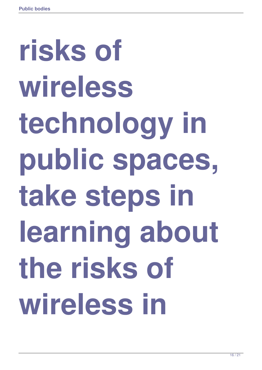# **risks of wireless technology in public spaces, take steps in learning about the risks of wireless in**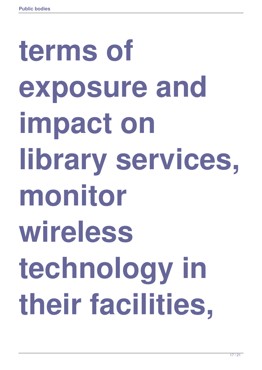# **terms of exposure and impact on library services, monitor wireless technology in their facilities,**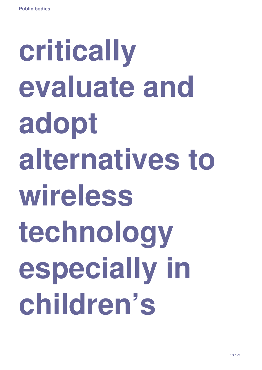# **critically evaluate and adopt alternatives to wireless technology especially in children's**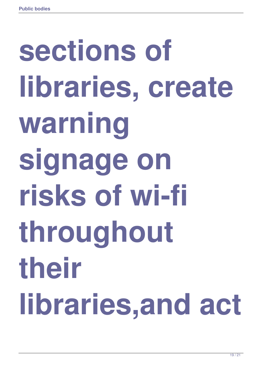# **sections of libraries, create warning signage on risks of wi-fi throughout their libraries,and act**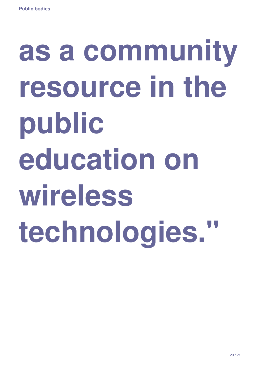## **as a community resource in the public education on wireless technologies."**